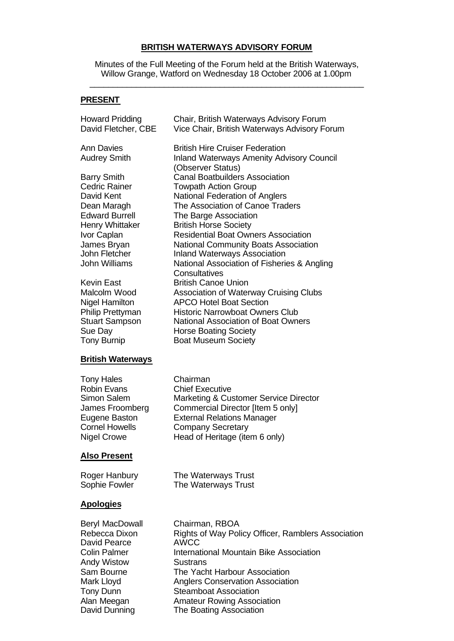### **BRITISH WATERWAYS ADVISORY FORUM**

Minutes of the Full Meeting of the Forum held at the British Waterways, Willow Grange, Watford on Wednesday 18 October 2006 at 1.00pm  $\_$  , and the set of the set of the set of the set of the set of the set of the set of the set of the set of the set of the set of the set of the set of the set of the set of the set of the set of the set of the set of th

# **PRESENT**

| <b>Howard Pridding</b>                                                                                                                                                                                                                                                       | Chair, British Waterways Advisory Forum                                                                                                                                                                                                                                                                                                                                                                                                                                                                                                                                          |
|------------------------------------------------------------------------------------------------------------------------------------------------------------------------------------------------------------------------------------------------------------------------------|----------------------------------------------------------------------------------------------------------------------------------------------------------------------------------------------------------------------------------------------------------------------------------------------------------------------------------------------------------------------------------------------------------------------------------------------------------------------------------------------------------------------------------------------------------------------------------|
| David Fletcher, CBE                                                                                                                                                                                                                                                          | Vice Chair, British Waterways Advisory Forum                                                                                                                                                                                                                                                                                                                                                                                                                                                                                                                                     |
| <b>Ann Davies</b>                                                                                                                                                                                                                                                            | <b>British Hire Cruiser Federation</b>                                                                                                                                                                                                                                                                                                                                                                                                                                                                                                                                           |
| <b>Audrey Smith</b>                                                                                                                                                                                                                                                          | <b>Inland Waterways Amenity Advisory Council</b>                                                                                                                                                                                                                                                                                                                                                                                                                                                                                                                                 |
| <b>Barry Smith</b><br><b>Cedric Rainer</b><br>David Kent<br>Dean Maragh<br><b>Edward Burrell</b><br>Henry Whittaker<br>Ivor Caplan<br>James Bryan<br>John Fletcher<br><b>John Williams</b><br><b>Kevin East</b><br>Malcolm Wood<br><b>Nigel Hamilton</b><br>Philip Prettyman | (Observer Status)<br><b>Canal Boatbuilders Association</b><br><b>Towpath Action Group</b><br>National Federation of Anglers<br>The Association of Canoe Traders<br>The Barge Association<br><b>British Horse Society</b><br><b>Residential Boat Owners Association</b><br><b>National Community Boats Association</b><br><b>Inland Waterways Association</b><br>National Association of Fisheries & Angling<br>Consultatives<br><b>British Canoe Union</b><br>Association of Waterway Cruising Clubs<br><b>APCO Hotel Boat Section</b><br><b>Historic Narrowboat Owners Club</b> |
| <b>Stuart Sampson</b>                                                                                                                                                                                                                                                        | <b>National Association of Boat Owners</b>                                                                                                                                                                                                                                                                                                                                                                                                                                                                                                                                       |
| Sue Day                                                                                                                                                                                                                                                                      | <b>Horse Boating Society</b>                                                                                                                                                                                                                                                                                                                                                                                                                                                                                                                                                     |
| <b>Tony Burnip</b>                                                                                                                                                                                                                                                           | <b>Boat Museum Society</b>                                                                                                                                                                                                                                                                                                                                                                                                                                                                                                                                                       |
| <b>British Waterways</b>                                                                                                                                                                                                                                                     |                                                                                                                                                                                                                                                                                                                                                                                                                                                                                                                                                                                  |
| <b>Tony Hales</b>                                                                                                                                                                                                                                                            | Chairman                                                                                                                                                                                                                                                                                                                                                                                                                                                                                                                                                                         |
| <b>Robin Evans</b>                                                                                                                                                                                                                                                           | <b>Chief Executive</b>                                                                                                                                                                                                                                                                                                                                                                                                                                                                                                                                                           |
| Simon Salem                                                                                                                                                                                                                                                                  | <b>Marketing &amp; Customer Service Director</b>                                                                                                                                                                                                                                                                                                                                                                                                                                                                                                                                 |
| James Froomberg                                                                                                                                                                                                                                                              | Commercial Director [Item 5 only]                                                                                                                                                                                                                                                                                                                                                                                                                                                                                                                                                |
| Eugene Baston                                                                                                                                                                                                                                                                | <b>External Relations Manager</b>                                                                                                                                                                                                                                                                                                                                                                                                                                                                                                                                                |
| <b>Cornel Howells</b>                                                                                                                                                                                                                                                        | <b>Company Secretary</b>                                                                                                                                                                                                                                                                                                                                                                                                                                                                                                                                                         |
| <b>Nigel Crowe</b>                                                                                                                                                                                                                                                           | Head of Heritage (item 6 only)                                                                                                                                                                                                                                                                                                                                                                                                                                                                                                                                                   |
| <u> Also Present</u>                                                                                                                                                                                                                                                         |                                                                                                                                                                                                                                                                                                                                                                                                                                                                                                                                                                                  |
| Roger Hanbury                                                                                                                                                                                                                                                                | The Waterways Trust                                                                                                                                                                                                                                                                                                                                                                                                                                                                                                                                                              |
| Sophie Fowler                                                                                                                                                                                                                                                                | The Waterways Trust                                                                                                                                                                                                                                                                                                                                                                                                                                                                                                                                                              |
| <b>Apologies</b>                                                                                                                                                                                                                                                             |                                                                                                                                                                                                                                                                                                                                                                                                                                                                                                                                                                                  |
| <b>Beryl MacDowall</b>                                                                                                                                                                                                                                                       | Chairman, RBOA                                                                                                                                                                                                                                                                                                                                                                                                                                                                                                                                                                   |
| Rebecca Dixon                                                                                                                                                                                                                                                                | Rights of Way Policy Officer, Ramblers Association                                                                                                                                                                                                                                                                                                                                                                                                                                                                                                                               |
| David Pearce                                                                                                                                                                                                                                                                 | <b>AWCC</b>                                                                                                                                                                                                                                                                                                                                                                                                                                                                                                                                                                      |
| <b>Colin Palmer</b>                                                                                                                                                                                                                                                          | International Mountain Bike Association                                                                                                                                                                                                                                                                                                                                                                                                                                                                                                                                          |
| <b>Andy Wistow</b>                                                                                                                                                                                                                                                           | <b>Sustrans</b>                                                                                                                                                                                                                                                                                                                                                                                                                                                                                                                                                                  |
| Sam Bourne                                                                                                                                                                                                                                                                   | The Yacht Harbour Association                                                                                                                                                                                                                                                                                                                                                                                                                                                                                                                                                    |

Mark Lloyd **Anglers Conservation Association**<br>
Tony Dunn **Conservation**<br>
Steamboat Association

Steamboat Association

Alan Meegan Amateur Rowing Association<br>
David Dunning The Boating Association

The Boating Association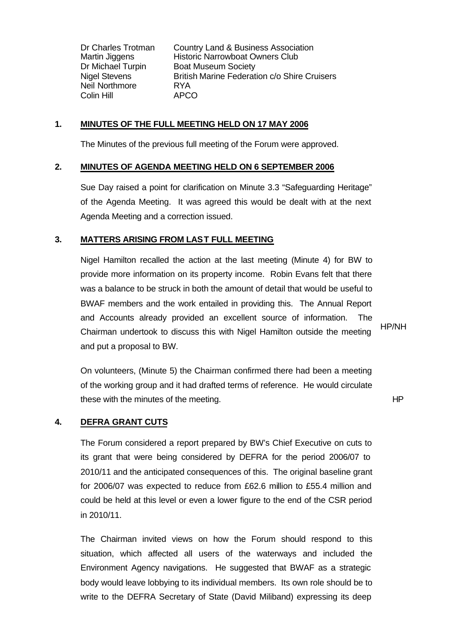Neil Northmore RYA Colin Hill APCO

Dr Charles Trotman Country Land & Business Association Martin Jiggens Historic Narrowboat Owners Club Dr Michael Turpin Boat Museum Society Nigel Stevens British Marine Federation c/o Shire Cruisers

### **1. MINUTES OF THE FULL MEETING HELD ON 17 MAY 2006**

The Minutes of the previous full meeting of the Forum were approved.

### **2. MINUTES OF AGENDA MEETING HELD ON 6 SEPTEMBER 2006**

Sue Day raised a point for clarification on Minute 3.3 "Safeguarding Heritage" of the Agenda Meeting. It was agreed this would be dealt with at the next Agenda Meeting and a correction issued.

### **3. MATTERS ARISING FROM LAST FULL MEETING**

Nigel Hamilton recalled the action at the last meeting (Minute 4) for BW to provide more information on its property income. Robin Evans felt that there was a balance to be struck in both the amount of detail that would be useful to BWAF members and the work entailed in providing this. The Annual Report and Accounts already provided an excellent source of information. The Chairman undertook to discuss this with Nigel Hamilton outside the meeting and put a proposal to BW.

HP/NH

On volunteers, (Minute 5) the Chairman confirmed there had been a meeting of the working group and it had drafted terms of reference. He would circulate these with the minutes of the meeting. The meeting of the meeting of the meeting of the meeting of the meeting of the meeting of the meeting of the meeting of the meeting of the meeting of the meeting of the meeting of the

#### **4. DEFRA GRANT CUTS**

The Forum considered a report prepared by BW's Chief Executive on cuts to its grant that were being considered by DEFRA for the period 2006/07 to 2010/11 and the anticipated consequences of this. The original baseline grant for 2006/07 was expected to reduce from £62.6 million to £55.4 million and could be held at this level or even a lower figure to the end of the CSR period in 2010/11.

The Chairman invited views on how the Forum should respond to this situation, which affected all users of the waterways and included the Environment Agency navigations. He suggested that BWAF as a strategic body would leave lobbying to its individual members. Its own role should be to write to the DEFRA Secretary of State (David Miliband) expressing its deep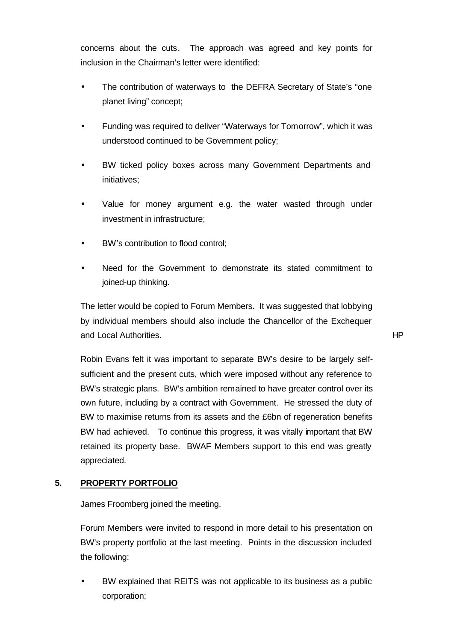concerns about the cuts. The approach was agreed and key points for inclusion in the Chairman's letter were identified:

- The contribution of waterways to the DEFRA Secretary of State's "one planet living" concept;
- Funding was required to deliver "Waterways for Tomorrow", which it was understood continued to be Government policy;
- BW ticked policy boxes across many Government Departments and initiatives;
- Value for money argument e.g. the water wasted through under investment in infrastructure;
- BW's contribution to flood control;
- Need for the Government to demonstrate its stated commitment to joined-up thinking.

The letter would be copied to Forum Members. It was suggested that lobbying by individual members should also include the Chancellor of the Exchequer and Local Authorities. HP

Robin Evans felt it was important to separate BW's desire to be largely selfsufficient and the present cuts, which were imposed without any reference to BW's strategic plans. BW's ambition remained to have greater control over its own future, including by a contract with Government. He stressed the duty of BW to maximise returns from its assets and the £6bn of regeneration benefits BW had achieved. To continue this progress, it was vitally important that BW retained its property base. BWAF Members support to this end was greatly appreciated.

## **5. PROPERTY PORTFOLIO**

James Froomberg joined the meeting.

Forum Members were invited to respond in more detail to his presentation on BW's property portfolio at the last meeting. Points in the discussion included the following:

• BW explained that REITS was not applicable to its business as a public corporation;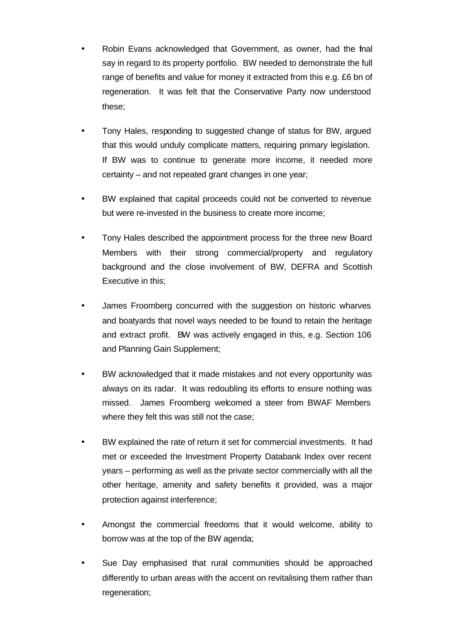- Robin Evans acknowledged that Government, as owner, had the final say in regard to its property portfolio. BW needed to demonstrate the full range of benefits and value for money it extracted from this e.g. £6 bn of regeneration. It was felt that the Conservative Party now understood these;
- Tony Hales, responding to suggested change of status for BW, argued that this would unduly complicate matters, requiring primary legislation. If BW was to continue to generate more income, it needed more certainty – and not repeated grant changes in one year;
- BW explained that capital proceeds could not be converted to revenue but were re-invested in the business to create more income;
- Tony Hales described the appointment process for the three new Board Members with their strong commercial/property and regulatory background and the close involvement of BW, DEFRA and Scottish Executive in this;
- James Froomberg concurred with the suggestion on historic wharves and boatyards that novel ways needed to be found to retain the heritage and extract profit. BW was actively engaged in this, e.g. Section 106 and Planning Gain Supplement;
- BW acknowledged that it made mistakes and not every opportunity was always on its radar. It was redoubling its efforts to ensure nothing was missed. James Froomberg welcomed a steer from BWAF Members where they felt this was still not the case;
- BW explained the rate of return it set for commercial investments. It had met or exceeded the Investment Property Databank Index over recent years – performing as well as the private sector commercially with all the other heritage, amenity and safety benefits it provided, was a major protection against interference;
- Amongst the commercial freedoms that it would welcome, ability to borrow was at the top of the BW agenda;
- Sue Day emphasised that rural communities should be approached differently to urban areas with the accent on revitalising them rather than regeneration;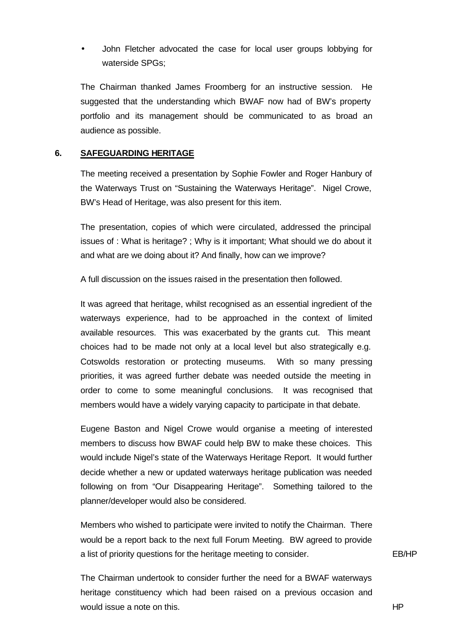• John Fletcher advocated the case for local user groups lobbying for waterside SPGs;

The Chairman thanked James Froomberg for an instructive session. He suggested that the understanding which BWAF now had of BW's property portfolio and its management should be communicated to as broad an audience as possible.

### **6. SAFEGUARDING HERITAGE**

The meeting received a presentation by Sophie Fowler and Roger Hanbury of the Waterways Trust on "Sustaining the Waterways Heritage". Nigel Crowe, BW's Head of Heritage, was also present for this item.

The presentation, copies of which were circulated, addressed the principal issues of : What is heritage? ; Why is it important; What should we do about it and what are we doing about it? And finally, how can we improve?

A full discussion on the issues raised in the presentation then followed.

It was agreed that heritage, whilst recognised as an essential ingredient of the waterways experience, had to be approached in the context of limited available resources. This was exacerbated by the grants cut. This meant choices had to be made not only at a local level but also strategically e.g. Cotswolds restoration or protecting museums. With so many pressing priorities, it was agreed further debate was needed outside the meeting in order to come to some meaningful conclusions. It was recognised that members would have a widely varying capacity to participate in that debate.

Eugene Baston and Nigel Crowe would organise a meeting of interested members to discuss how BWAF could help BW to make these choices. This would include Nigel's state of the Waterways Heritage Report. It would further decide whether a new or updated waterways heritage publication was needed following on from "Our Disappearing Heritage". Something tailored to the planner/developer would also be considered.

Members who wished to participate were invited to notify the Chairman. There would be a report back to the next full Forum Meeting. BW agreed to provide a list of priority questions for the heritage meeting to consider. EB/HP

The Chairman undertook to consider further the need for a BWAF waterways heritage constituency which had been raised on a previous occasion and would issue a note on this. HP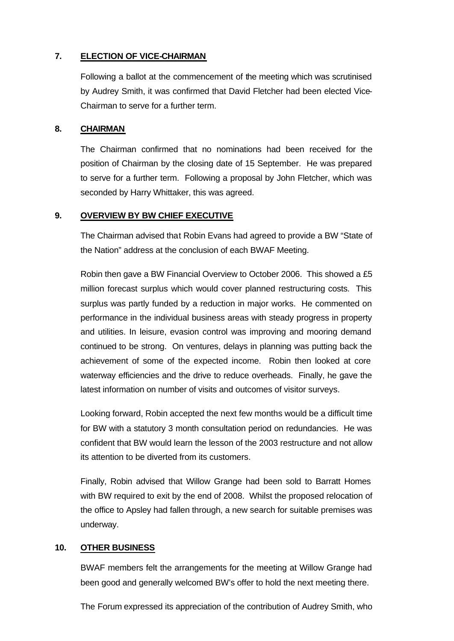# **7. ELECTION OF VICE-CHAIRMAN**

Following a ballot at the commencement of the meeting which was scrutinised by Audrey Smith, it was confirmed that David Fletcher had been elected Vice-Chairman to serve for a further term.

### **8. CHAIRMAN**

The Chairman confirmed that no nominations had been received for the position of Chairman by the closing date of 15 September. He was prepared to serve for a further term. Following a proposal by John Fletcher, which was seconded by Harry Whittaker, this was agreed.

## **9. OVERVIEW BY BW CHIEF EXECUTIVE**

The Chairman advised that Robin Evans had agreed to provide a BW "State of the Nation" address at the conclusion of each BWAF Meeting.

Robin then gave a BW Financial Overview to October 2006. This showed a £5 million forecast surplus which would cover planned restructuring costs. This surplus was partly funded by a reduction in major works. He commented on performance in the individual business areas with steady progress in property and utilities. In leisure, evasion control was improving and mooring demand continued to be strong. On ventures, delays in planning was putting back the achievement of some of the expected income. Robin then looked at core waterway efficiencies and the drive to reduce overheads. Finally, he gave the latest information on number of visits and outcomes of visitor surveys.

Looking forward, Robin accepted the next few months would be a difficult time for BW with a statutory 3 month consultation period on redundancies. He was confident that BW would learn the lesson of the 2003 restructure and not allow its attention to be diverted from its customers.

Finally, Robin advised that Willow Grange had been sold to Barratt Homes with BW required to exit by the end of 2008. Whilst the proposed relocation of the office to Apsley had fallen through, a new search for suitable premises was underway.

## **10. OTHER BUSINESS**

BWAF members felt the arrangements for the meeting at Willow Grange had been good and generally welcomed BW's offer to hold the next meeting there.

The Forum expressed its appreciation of the contribution of Audrey Smith, who